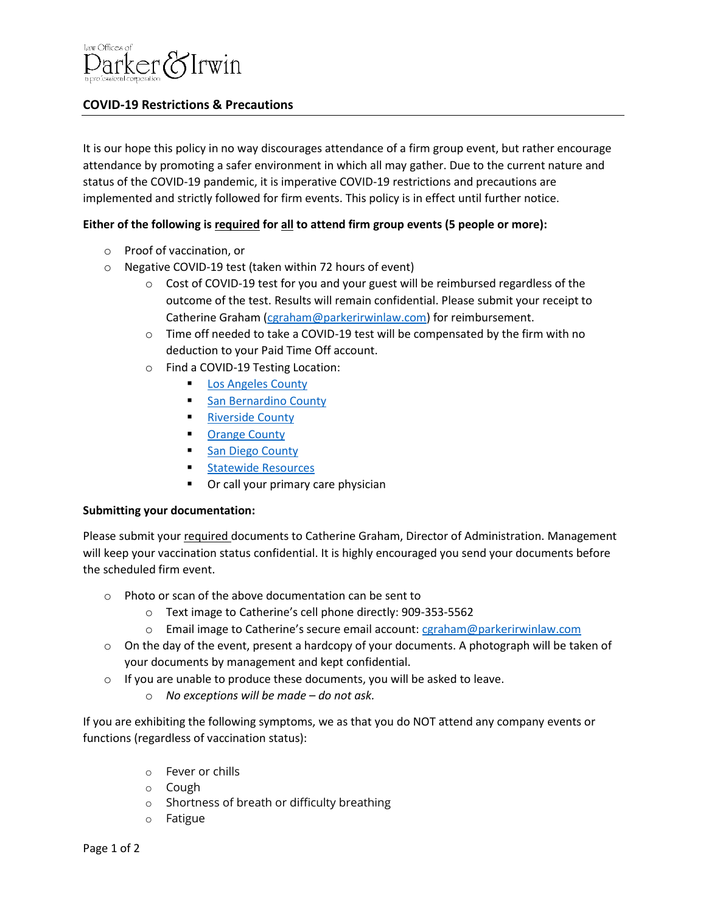

## **COVID-19 Restrictions & Precautions**

It is our hope this policy in no way discourages attendance of a firm group event, but rather encourage attendance by promoting a safer environment in which all may gather. Due to the current nature and status of the COVID-19 pandemic, it is imperative COVID-19 restrictions and precautions are implemented and strictly followed for firm events. This policy is in effect until further notice.

## **Either of the following is required for all to attend firm group events (5 people or more):**

- o Proof of vaccination, or
- o Negative COVID-19 test (taken within 72 hours of event)
	- $\circ$  Cost of COVID-19 test for you and your guest will be reimbursed regardless of the outcome of the test. Results will remain confidential. Please submit your receipt to Catherine Graham [\(cgraham@parkerirwinlaw.com\)](mailto:cgraham@parkerirwinlaw.com) for reimbursement.
	- $\circ$  Time off needed to take a COVID-19 test will be compensated by the firm with no deduction to your Paid Time Off account.
	- o Find a COVID-19 Testing Location:
		- **Example 2 [Los Angeles County](https://covid19.lacounty.gov/testing/)**
		- [San Bernardino County](https://sbcovid19.com/testing-sites/)
		- **[Riverside County](https://gettested.ruhealth.org/)**
		- [Orange County](https://occovid19.ochealthinfo.com/covid-19-testing)
		- [San Diego County](https://www.sandiegocounty.gov/content/sdc/hhsa/programs/phs/community_epidemiology/dc/2019-nCoV/testing.html)
		- [Statewide Resources](https://www.hhs.gov/coronavirus/community-based-testing-sites/index.html)
		- Or call your primary care physician

## **Submitting your documentation:**

Please submit your required documents to Catherine Graham, Director of Administration. Management will keep your vaccination status confidential. It is highly encouraged you send your documents before the scheduled firm event.

- o Photo or scan of the above documentation can be sent to
	- o Text image to Catherine's cell phone directly: 909-353-5562
	- o Email image to Catherine's secure email account: [cgraham@parkerirwinlaw.com](mailto:cgraham@parkerirwinlaw.com)
- o On the day of the event, present a hardcopy of your documents. A photograph will be taken of your documents by management and kept confidential.
- o If you are unable to produce these documents, you will be asked to leave.
	- o *No exceptions will be made – do not ask.*

If you are exhibiting the following symptoms, we as that you do NOT attend any company events or functions (regardless of vaccination status):

- o Fever or chills
- o Cough
- o Shortness of breath or difficulty breathing
- o Fatigue